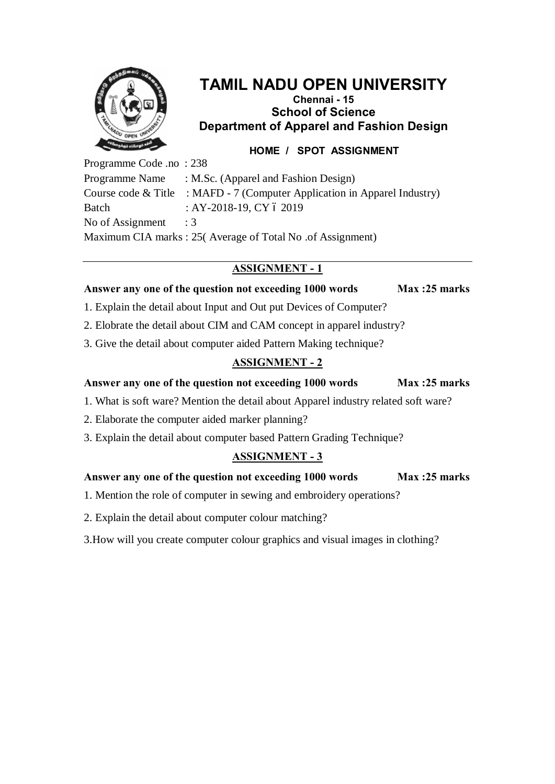

**Chennai - 15 School of Science Department of Apparel and Fashion Design**

## **HOME / SPOT ASSIGNMENT**

Programme Code .no : 238 Programme Name : M.Sc. (Apparel and Fashion Design) Course code & Title : MAFD - 7 (Computer Application in Apparel Industry) Batch : AY-2018-19, CY ó 2019 No of Assignment : 3 Maximum CIA marks : 25( Average of Total No .of Assignment)

# **ASSIGNMENT - 1**

### **Answer any one of the question not exceeding 1000 words Max :25 marks**

- 1. Explain the detail about Input and Out put Devices of Computer?
- 2. Elobrate the detail about CIM and CAM concept in apparel industry?
- 3. Give the detail about computer aided Pattern Making technique?

# **ASSIGNMENT - 2**

# **Answer any one of the question not exceeding 1000 words Max :25 marks**

- 1. What is soft ware? Mention the detail about Apparel industry related soft ware?
- 2. Elaborate the computer aided marker planning?
- 3. Explain the detail about computer based Pattern Grading Technique?

# **ASSIGNMENT - 3**

## **Answer any one of the question not exceeding 1000 words Max :25 marks**

- 1. Mention the role of computer in sewing and embroidery operations?
- 2. Explain the detail about computer colour matching?
- 3.How will you create computer colour graphics and visual images in clothing?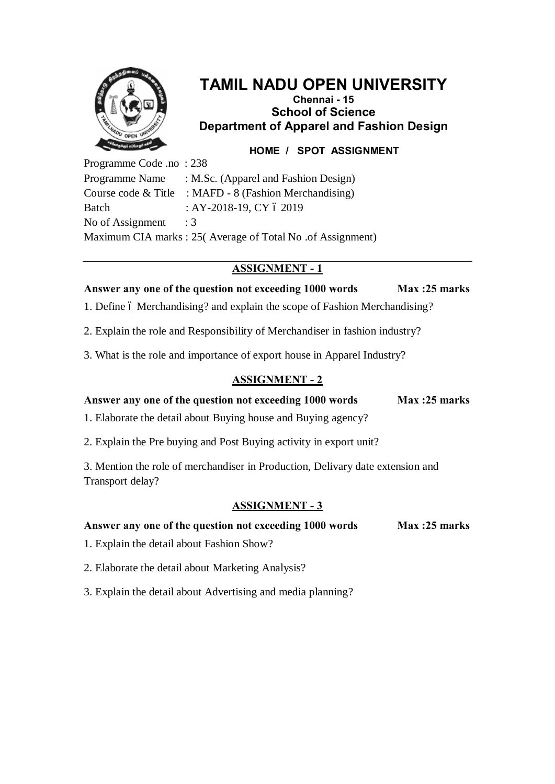

**Chennai - 15 School of Science Department of Apparel and Fashion Design**

**HOME / SPOT ASSIGNMENT**

Programme Code .no : 238 Programme Name : M.Sc. (Apparel and Fashion Design) Course code  $& Title \; : MAFD - 8$  (Fashion Merchandising) Batch : AY-2018-19, CY ó 2019 No of Assignment : 3 Maximum CIA marks : 25( Average of Total No .of Assignment)

## **ASSIGNMENT - 1**

## **Answer any one of the question not exceeding 1000 words Max :25 marks**

- 1. Define 6 Merchandising? and explain the scope of Fashion Merchandising?
- 2. Explain the role and Responsibility of Merchandiser in fashion industry?
- 3. What is the role and importance of export house in Apparel Industry?

### **ASSIGNMENT - 2**

**Answer any one of the question not exceeding 1000 words Max :25 marks**

1. Elaborate the detail about Buying house and Buying agency?

2. Explain the Pre buying and Post Buying activity in export unit?

3. Mention the role of merchandiser in Production, Delivary date extension and Transport delay?

## **ASSIGNMENT - 3**

### **Answer any one of the question not exceeding 1000 words Max :25 marks**

1. Explain the detail about Fashion Show?

- 2. Elaborate the detail about Marketing Analysis?
- 3. Explain the detail about Advertising and media planning?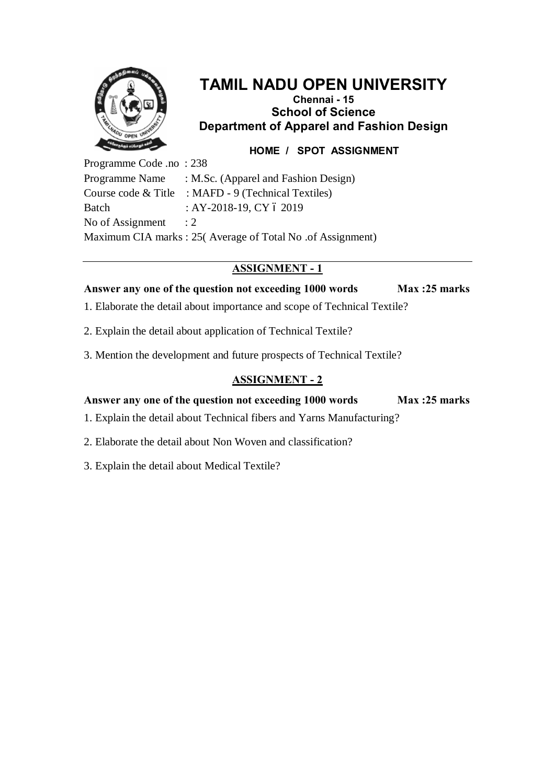

**Chennai - 15 School of Science Department of Apparel and Fashion Design**

**HOME / SPOT ASSIGNMENT**

Programme Code .no : 238 Programme Name : M.Sc. (Apparel and Fashion Design) Course code & Title : MAFD - 9 (Technical Textiles) Batch : AY-2018-19, CY ó 2019 No of Assignment : 2 Maximum CIA marks : 25( Average of Total No .of Assignment)

# **ASSIGNMENT - 1**

**Answer any one of the question not exceeding 1000 words Max :25 marks**

- 1. Elaborate the detail about importance and scope of Technical Textile?
- 2. Explain the detail about application of Technical Textile?
- 3. Mention the development and future prospects of Technical Textile?

## **ASSIGNMENT - 2**

**Answer any one of the question not exceeding 1000 words Max :25 marks**

1. Explain the detail about Technical fibers and Yarns Manufacturing?

- 2. Elaborate the detail about Non Woven and classification?
- 3. Explain the detail about Medical Textile?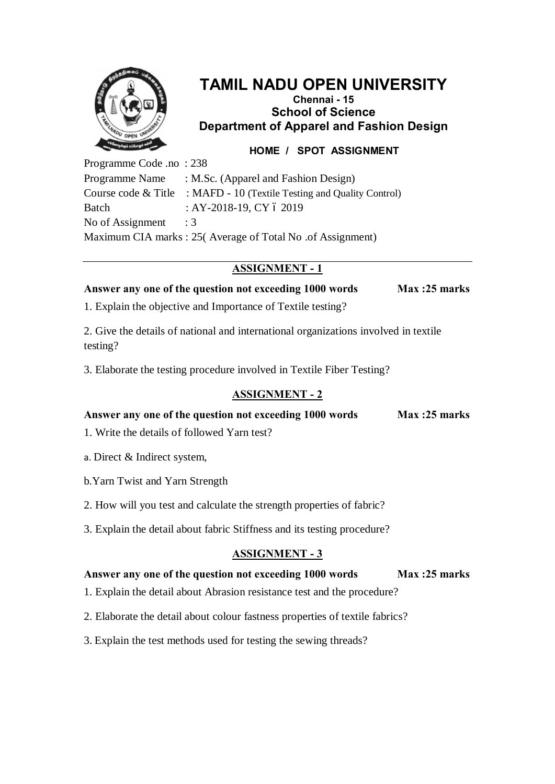

**Chennai - 15 School of Science Department of Apparel and Fashion Design**

### **HOME / SPOT ASSIGNMENT**

Programme Code .no : 238 Programme Name : M.Sc. (Apparel and Fashion Design) Course code & Title : MAFD - 10 (Textile Testing and Quality Control) Batch : AY-2018-19, CY ó 2019 No of Assignment : 3 Maximum CIA marks : 25( Average of Total No .of Assignment)

### **ASSIGNMENT - 1**

**Answer any one of the question not exceeding 1000 words Max :25 marks**

1. Explain the objective and Importance of Textile testing?

2. Give the details of national and international organizations involved in textile testing?

3. Elaborate the testing procedure involved in Textile Fiber Testing?

## **ASSIGNMENT - 2**

**Answer any one of the question not exceeding 1000 words Max :25 marks**

- 1. Write the details of followed Yarn test?
- a. Direct & Indirect system,
- b.Yarn Twist and Yarn Strength
- 2. How will you test and calculate the strength properties of fabric?
- 3. Explain the detail about fabric Stiffness and its testing procedure?

### **ASSIGNMENT - 3**

#### **Answer any one of the question not exceeding 1000 words Max :25 marks**

- 1. Explain the detail about Abrasion resistance test and the procedure?
- 2. Elaborate the detail about colour fastness properties of textile fabrics?
- 3. Explain the test methods used for testing the sewing threads?